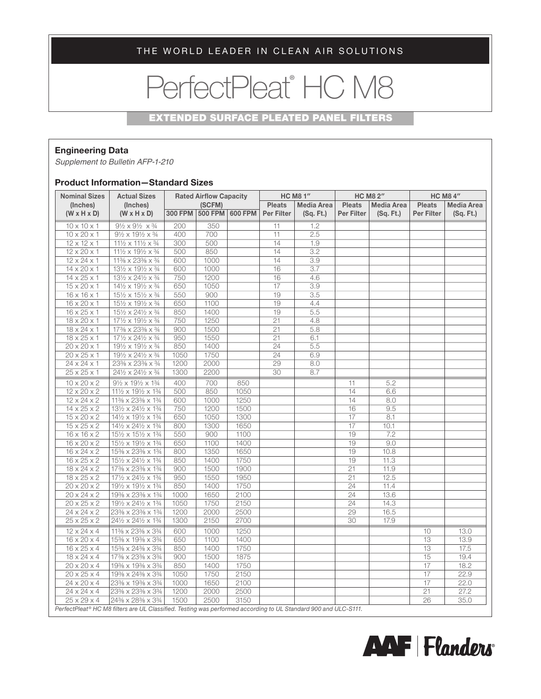THE WORLD LEADER IN CLEAN AIR SOLUTIONS

# PerfectPleat® HC M8

### EXTENDED SURFACE PLEATED PANEL FILTERS

## **Engineering Data**

*Supplement to Bulletin AFP-1-210*

#### **Product Information—Standard Sizes**

| <b>Nominal Sizes</b><br>(Inches) | <b>Actual Sizes</b><br>(Inches)                         | <b>Rated Airflow Capacity</b><br>(SCFM) |         |                | <b>HC M8 1"</b> |                   | <b>HC M8 2"</b>                    |           | <b>HC M8 4"</b>                    |           |
|----------------------------------|---------------------------------------------------------|-----------------------------------------|---------|----------------|-----------------|-------------------|------------------------------------|-----------|------------------------------------|-----------|
|                                  |                                                         |                                         |         |                | <b>Pleats</b>   | <b>Media Area</b> | <b>Pleats</b><br><b>Media Area</b> |           | <b>Pleats</b><br><b>Media Area</b> |           |
| $(W \times H \times D)$          | $(W \times H \times D)$                                 | <b>300 FPM</b>                          | 500 FPM | <b>600 FPM</b> | Per Filter      | (Sq. Ft.)         | Per Filter                         | (Sq. Ft.) | Per Filter                         | (Sq. Ft.) |
| $10 \times 10 \times 1$          | $9\frac{1}{2} \times 9\frac{1}{2} \times \frac{3}{4}$   | 200                                     | 350     |                | 11              | 1.2               |                                    |           |                                    |           |
| $10 \times 20 \times 1$          | $9\frac{1}{2} \times 19\frac{1}{2} \times \frac{3}{4}$  | 400                                     | 700     |                | 11              | 2.5               |                                    |           |                                    |           |
| $12 \times 12 \times 1$          | $11\frac{1}{2} \times 11\frac{1}{2} \times \frac{3}{4}$ | 300                                     | 500     |                | 14              | 1.9               |                                    |           |                                    |           |
| $12 \times 20 \times 1$          | 111/2 x 191/2 x 3/4                                     | 500                                     | 850     |                | 14              | 3.2               |                                    |           |                                    |           |
| $12 \times 24 \times 1$          | 11% x 23% x %                                           | 600                                     | 1000    |                | 14              | 3.9               |                                    |           |                                    |           |
| $14 \times 20 \times 1$          | 131/2 x 191/2 x 3/4                                     | 600                                     | 1000    |                | 16              | 3.7               |                                    |           |                                    |           |
| $14 \times 25 \times 1$          | 131/2 x 241/2 x 3/4                                     | 750                                     | 1200    |                | 16              | 4.6               |                                    |           |                                    |           |
| $15 \times 20 \times 1$          | 141/2 x 191/2 x 3/4                                     | 650                                     | 1050    |                | 17              | 3.9               |                                    |           |                                    |           |
| $16 \times 16 \times 1$          | 151/2 x 151/2 x 3/4                                     | 550                                     | 900     |                | 19              | 3.5               |                                    |           |                                    |           |
| $16 \times 20 \times 1$          | $15\frac{1}{2} \times 19\frac{1}{2} \times \frac{3}{4}$ | 650                                     | 1100    |                | 19              | 4.4               |                                    |           |                                    |           |
| $16 \times 25 \times 1$          | 151/2 x 241/2 x 3/4                                     | 850                                     | 1400    |                | 19              | 5.5               |                                    |           |                                    |           |
| $18 \times 20 \times 1$          | 171/2 x 191/2 x 3/4                                     | 750                                     | 1250    |                | $\overline{21}$ | 4.8               |                                    |           |                                    |           |
| $18 \times 24 \times 1$          | 17% x 23% x %                                           | 900                                     | 1500    |                | 21              | 5.8               |                                    |           |                                    |           |
| $18 \times 25 \times 1$          | 171/2 x 241/2 x 3/4                                     | 950                                     | 1550    |                | 21              | 6.1               |                                    |           |                                    |           |
| $20 \times 20 \times 1$          | 191/2 x 191/2 x 3/4                                     | 850                                     | 1400    |                | 24              | 5.5               |                                    |           |                                    |           |
| $20 \times 25 \times 1$          | 191/2 x 241/2 x 3/4                                     | 1050                                    | 1750    |                | 24              | 6.9               |                                    |           |                                    |           |
| $24 \times 24 \times 1$          | 23% x 23% x 34                                          | 1200                                    | 2000    |                | 29              | 8.0               |                                    |           |                                    |           |
| $25 \times 25 \times 1$          | 241/2 x 241/2 x 3/4                                     | 1300                                    | 2200    |                | 30              | 8.7               |                                    |           |                                    |           |
| $10 \times 20 \times 2$          | $9\frac{1}{2} \times 19\frac{1}{2} \times 1\frac{3}{4}$ | 400                                     | 700     | 850            |                 |                   | 11                                 | 5.2       |                                    |           |
| $12 \times 20 \times 2$          | 111/2 x 191/2 x 13/4                                    | 500                                     | 850     | 1050           |                 |                   | 14                                 | 6.6       |                                    |           |
| $12 \times 24 \times 2$          | 11% x 23% x 1%                                          | 600                                     | 1000    | 1250           |                 |                   | 14                                 | 8.0       |                                    |           |
| $14 \times 25 \times 2$          | 131/2 x 241/2 x 13/4                                    | 750                                     | 1200    | 1500           |                 |                   | 16                                 | 9.5       |                                    |           |
| $15 \times 20 \times 2$          | 141/2 x 191/2 x 13/4                                    | 650                                     | 1050    | 1300           |                 |                   | 17                                 | 8.1       |                                    |           |
| $15 \times 25 \times 2$          | 141/2 x 241/2 x 13/4                                    | 800                                     | 1300    | 1650           |                 |                   | 17                                 | 10.1      |                                    |           |
| $16 \times 16 \times 2$          | 151/2 x 151/2 x 13/4                                    | 550                                     | 900     | 1100           |                 |                   | 19                                 | 7.2       |                                    |           |
| $16 \times 20 \times 2$          | 151/2 x 191/2 x 13/4                                    | 650                                     | 1100    | 1400           |                 |                   | 19                                 | 9.0       |                                    |           |
| $16 \times 24 \times 2$          | 15% x 23% x 1%                                          | 800                                     | 1350    | 1650           |                 |                   | 19                                 | 10.8      |                                    |           |
| $16 \times 25 \times 2$          | 151/2 x 241/2 x 13/4                                    | 850                                     | 1400    | 1750           |                 |                   | 19                                 | 11.3      |                                    |           |
| $18 \times 24 \times 2$          | 17% x 23% x 1%                                          | 900                                     | 1500    | 1900           |                 |                   | 21                                 | 11.9      |                                    |           |
| $18 \times 25 \times 2$          | 171/2 x 241/2 x 13/4                                    | 950                                     | 1550    | 1950           |                 |                   | 21                                 | 12.5      |                                    |           |
| $20 \times 20 \times 2$          | 191/2 x 191/2 x 13/4                                    | 850                                     | 1400    | 1750           |                 |                   | 24                                 | 11.4      |                                    |           |
| $20 \times 24 \times 2$          | 19% x 23% x 1%                                          | 1000                                    | 1650    | 2100           |                 |                   | 24                                 | 13.6      |                                    |           |
| $20 \times 25 \times 2$          | 191/2 x 241/2 x 13/4                                    | 1050                                    | 1750    | 2150           |                 |                   | 24                                 | 14.3      |                                    |           |
| $24 \times 24 \times 2$          | 23% x 23% x 1%                                          | 1200                                    | 2000    | 2500           |                 |                   | 29                                 | 16.5      |                                    |           |
| $25 \times 25 \times 2$          | 241/2 x 241/2 x 13/4                                    | 1300                                    | 2150    | 2700           |                 |                   | 30                                 | 17.9      |                                    |           |
| $12 \times 24 \times 4$          | 11% x 23% x 3%                                          | 600                                     | 1000    | 1250           |                 |                   |                                    |           | 10                                 | 13.0      |
| $16 \times 20 \times 4$          | 15% x 19% x 3%                                          | 650                                     | 1100    | 1400           |                 |                   |                                    |           | 13                                 | 13.9      |
| $16 \times 25 \times 4$          | 15% x 24% x 3%                                          | 850                                     | 1400    | 1750           |                 |                   |                                    |           | 13                                 | 17.5      |
| $18 \times 24 \times 4$          | 17% x 23% x 3%                                          | 900                                     | 1500    | 1875           |                 |                   |                                    |           | 15                                 | 19.4      |
| $20 \times 20 \times 4$          | 19% x 19% x 3%                                          | 850                                     | 1400    | 1750           |                 |                   |                                    |           | 17                                 | 18.2      |
| $20 \times 25 \times 4$          | 19% x 24% x 3%                                          | 1050                                    | 1750    | 2150           |                 |                   |                                    |           | 17                                 | 22.9      |
| $24 \times 20 \times 4$          | 23% x 19% x 3%                                          | 1000                                    | 1650    | 2100           |                 |                   |                                    |           | $\overline{17}$                    | 22.0      |
| $24 \times 24 \times 4$          | 23% x 23% x 3%                                          | 1200                                    | 2000    | 2500           |                 |                   |                                    |           | 21                                 | 27.2      |
| $25 \times 29 \times 4$          | 24% x 28% x 3%                                          | 1500                                    | 2500    | 3150           |                 |                   |                                    |           | 26                                 | 35.0      |